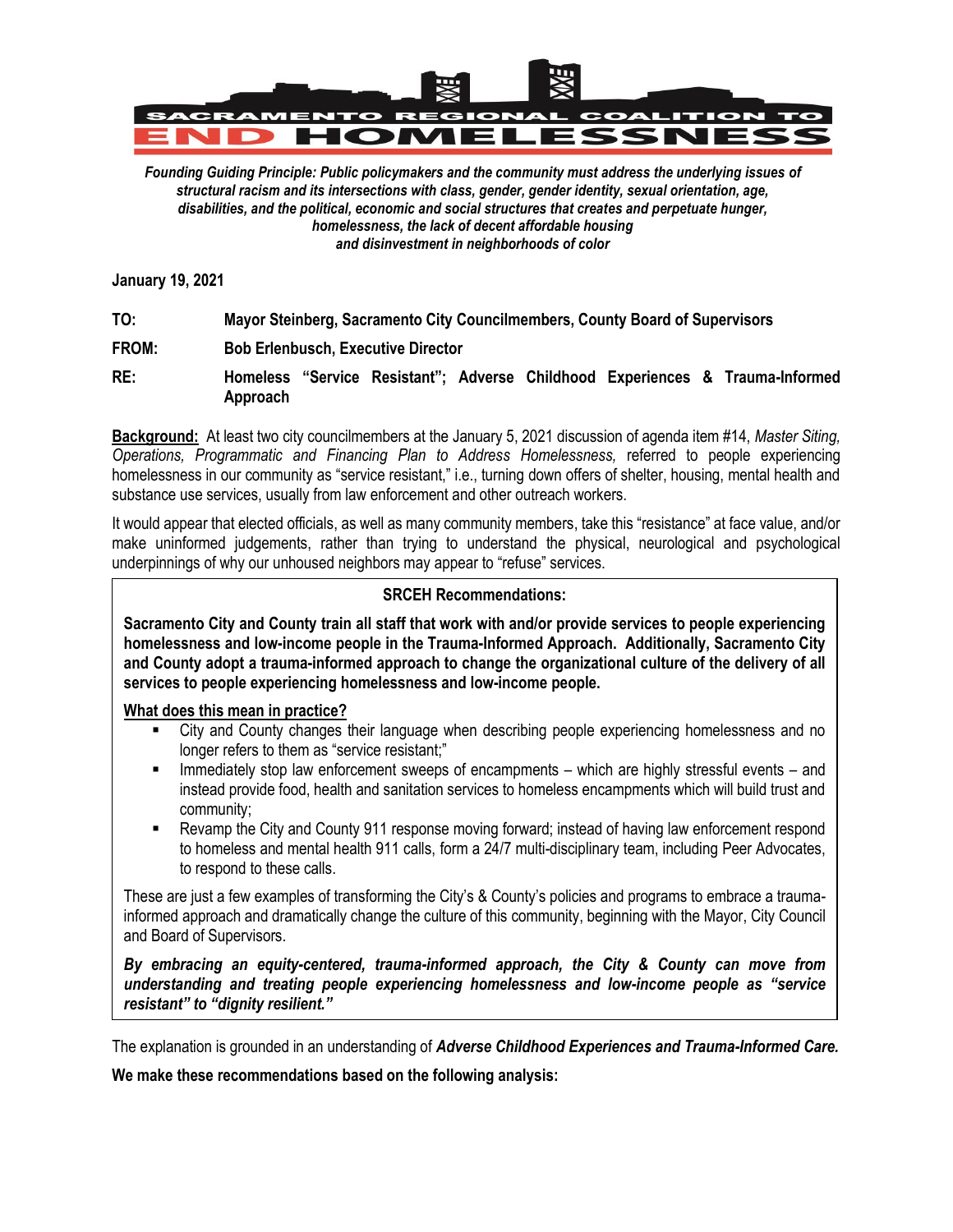

*Founding Guiding Principle: Public policymakers and the community must address the underlying issues of structural racism and its intersections with class, gender, gender identity, sexual orientation, age, disabilities, and the political, economic and social structures that creates and perpetuate hunger, homelessness, the lack of decent affordable housing and disinvestment in neighborhoods of color*

**January 19, 2021**

**TO: Mayor Steinberg, Sacramento City Councilmembers, County Board of Supervisors**

**FROM: Bob Erlenbusch, Executive Director**

**RE: Homeless "Service Resistant"; Adverse Childhood Experiences & Trauma-Informed Approach**

**Background:** At least two city councilmembers at the January 5, 2021 discussion of agenda item #14, *Master Siting, Operations, Programmatic and Financing Plan to Address Homelessness,* referred to people experiencing homelessness in our community as "service resistant," i.e., turning down offers of shelter, housing, mental health and substance use services, usually from law enforcement and other outreach workers.

It would appear that elected officials, as well as many community members, take this "resistance" at face value, and/or make uninformed judgements, rather than trying to understand the physical, neurological and psychological underpinnings of why our unhoused neighbors may appear to "refuse" services.

## **SRCEH Recommendations:**

**Sacramento City and County train all staff that work with and/or provide services to people experiencing homelessness and low-income people in the Trauma-Informed Approach. Additionally, Sacramento City and County adopt a trauma-informed approach to change the organizational culture of the delivery of all services to people experiencing homelessness and low-income people.**

**What does this mean in practice?**

- City and County changes their language when describing people experiencing homelessness and no longer refers to them as "service resistant;"
- Immediately stop law enforcement sweeps of encampments which are highly stressful events and instead provide food, health and sanitation services to homeless encampments which will build trust and community;
- Revamp the City and County 911 response moving forward; instead of having law enforcement respond to homeless and mental health 911 calls, form a 24/7 multi-disciplinary team, including Peer Advocates, to respond to these calls.

These are just a few examples of transforming the City's & County's policies and programs to embrace a traumainformed approach and dramatically change the culture of this community, beginning with the Mayor, City Council and Board of Supervisors.

*By embracing an equity-centered, trauma-informed approach, the City & County can move from understanding and treating people experiencing homelessness and low-income people as "service resistant" to "dignity resilient."*

The explanation is grounded in an understanding of *Adverse Childhood Experiences and Trauma-Informed Care.*

**We make these recommendations based on the following analysis:**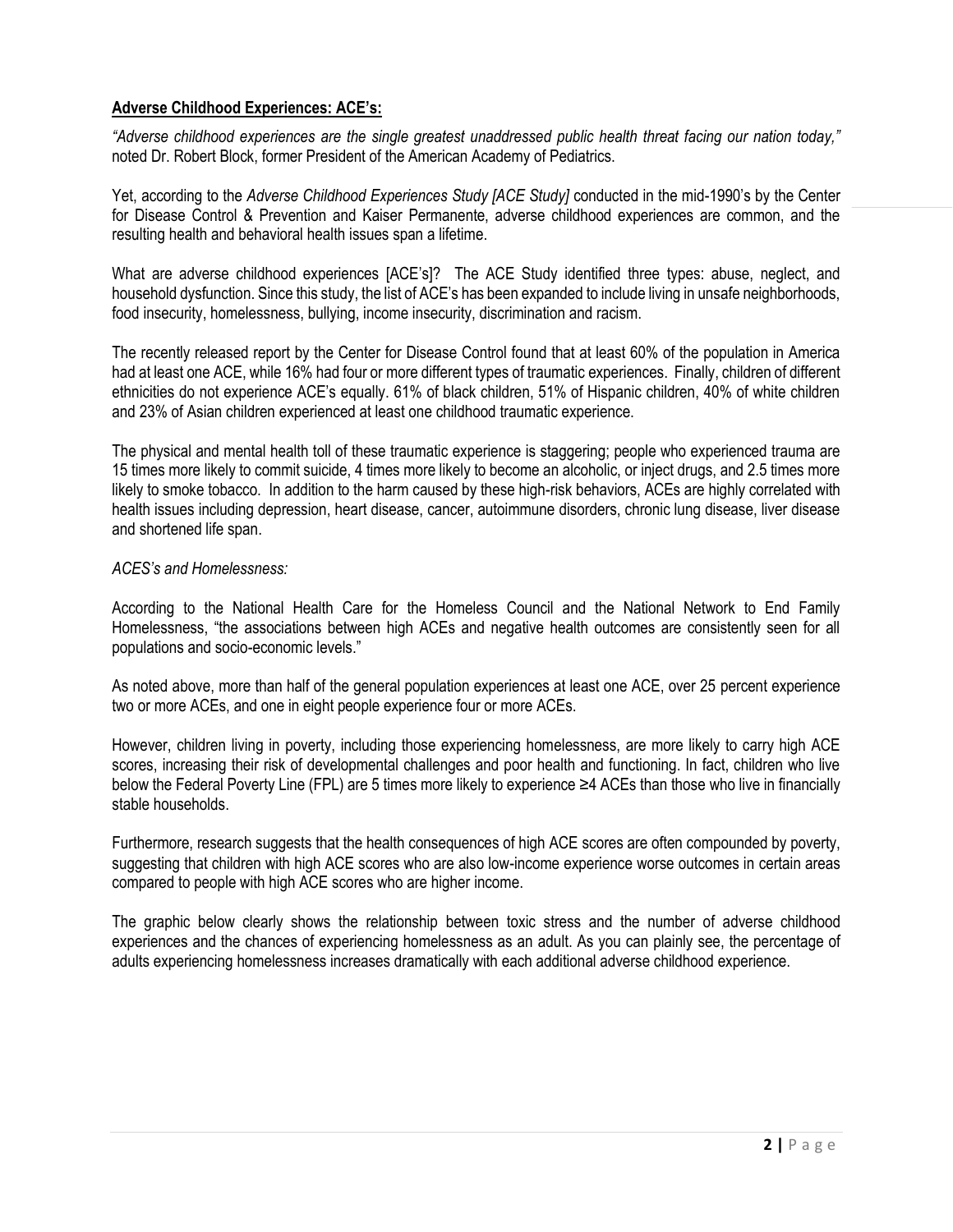# **Adverse Childhood Experiences: ACE's:**

*"Adverse childhood experiences are the single greatest unaddressed public health threat facing our nation today,"*  noted Dr. Robert Block, former President of the American Academy of Pediatrics.

Yet, according to the *Adverse Childhood Experiences Study [ACE Study]* conducted in the mid-1990's by the Center for Disease Control & Prevention and Kaiser Permanente, adverse childhood experiences are common, and the resulting health and behavioral health issues span a lifetime.

What are adverse childhood experiences [ACE's]? The ACE Study identified three types: abuse, neglect, and household dysfunction. Since this study, the list of ACE's has been expanded to include living in unsafe neighborhoods, food insecurity, homelessness, bullying, income insecurity, discrimination and racism.

The recently released report by the Center for Disease Control found that at least 60% of the population in America had at least one ACE, while 16% had four or more different types of traumatic experiences. Finally, children of different ethnicities do not experience ACE's equally. 61% of black children, 51% of Hispanic children, 40% of white children and 23% of Asian children experienced at least one childhood traumatic experience.

The physical and mental health toll of these traumatic experience is staggering; people who experienced trauma are 15 times more likely to commit suicide, 4 times more likely to become an alcoholic, or inject drugs, and 2.5 times more likely to smoke tobacco. In addition to the harm caused by these high-risk behaviors, ACEs are highly correlated with health issues including depression, heart disease, cancer, autoimmune disorders, chronic lung disease, liver disease and shortened life span.

#### *ACES's and Homelessness:*

According to the National Health Care for the Homeless Council and the National Network to End Family Homelessness, "the associations between high ACEs and negative health outcomes are consistently seen for all populations and socio-economic levels."

As noted above, more than half of the general population experiences at least one ACE, over 25 percent experience two or more ACEs, and one in eight people experience four or more ACEs.

However, children living in poverty, including those experiencing homelessness, are more likely to carry high ACE scores, increasing their risk of developmental challenges and poor health and functioning. In fact, children who live below the Federal Poverty Line (FPL) are 5 times more likely to experience ≥4 ACEs than those who live in financially stable households.

Furthermore, research suggests that the health consequences of high ACE scores are often compounded by poverty, suggesting that children with high ACE scores who are also low-income experience worse outcomes in certain areas compared to people with high ACE scores who are higher income.

The graphic below clearly shows the relationship between toxic stress and the number of adverse childhood experiences and the chances of experiencing homelessness as an adult. As you can plainly see, the percentage of adults experiencing homelessness increases dramatically with each additional adverse childhood experience.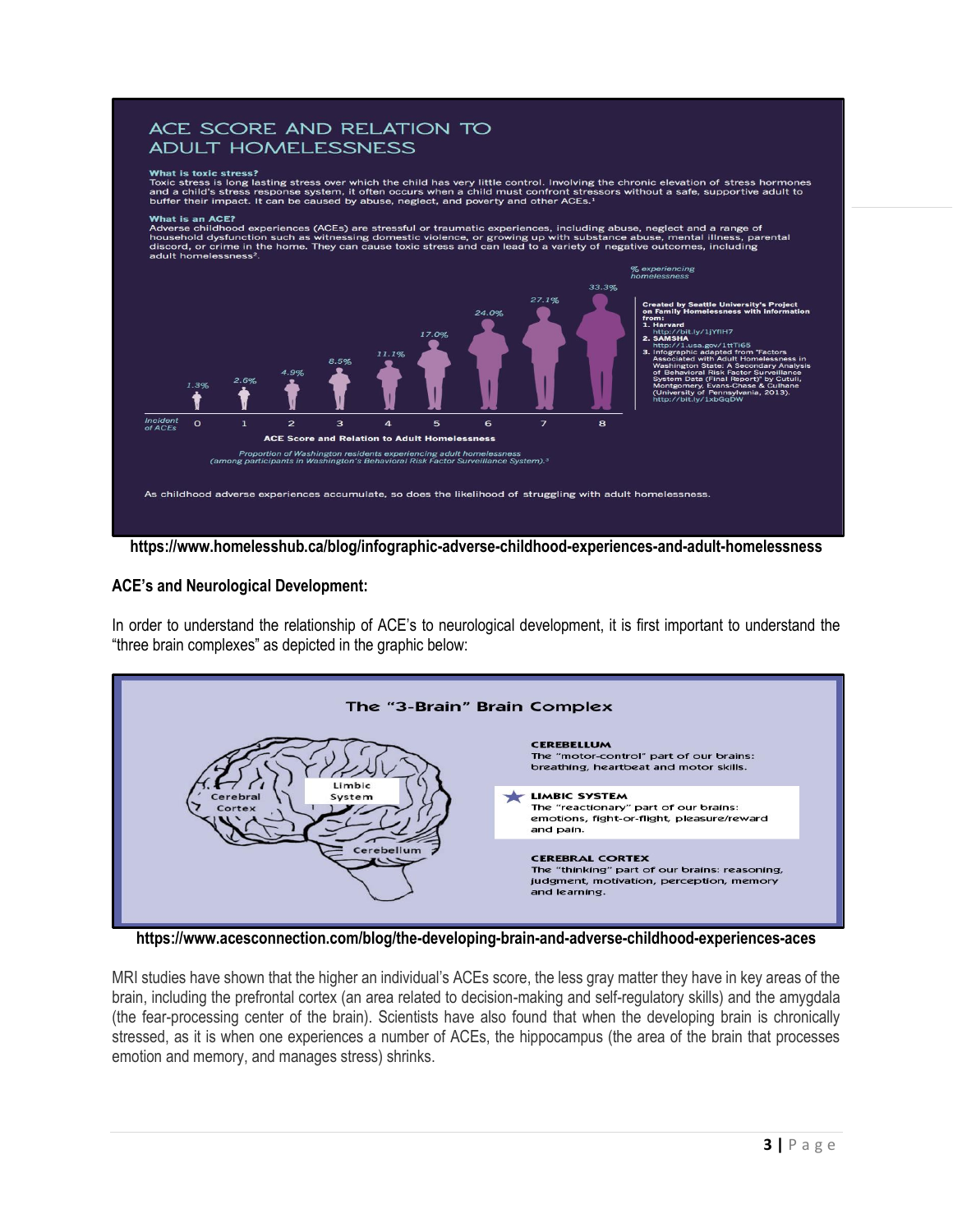## ACE SCORE AND RELATION TO ADULT HOMELESSNESS

#### What is toxic stress?

Final is used in the stress is long lasting stress over which the child has very little control. Involving the chronic elevation of stress hormones and a child's stress response system, it often occurs when a child must co

#### **What is an ACE?**

Final is an Exc.<br>Adverse childhood experiences (ACEs) are stressful or traumatic experiences, including abuse, neglect and a range of<br>household dysfunction such as witnessing domestic violence, or growing up with substance



**https://www.homelesshub.ca/blog/infographic-adverse-childhood-experiences-and-adult-homelessness**

#### **ACE's and Neurological Development:**

In order to understand the relationship of ACE's to neurological development, it is first important to understand the "three brain complexes" as depicted in the graphic below:



**https://www.acesconnection.com/blog/the-developing-brain-and-adverse-childhood-experiences-aces**

MRI studies have shown that the higher an individual's ACEs score, the less gray matter they have in key areas of the brain, including the prefrontal cortex (an area related to decision-making and self-regulatory skills) and the amygdala (the fear-processing center of the brain). Scientists have also found that when the developing brain is chronically stressed, as it is when one experiences a number of ACEs, the hippocampus (the area of the brain that processes emotion and memory, and manages stress) shrinks.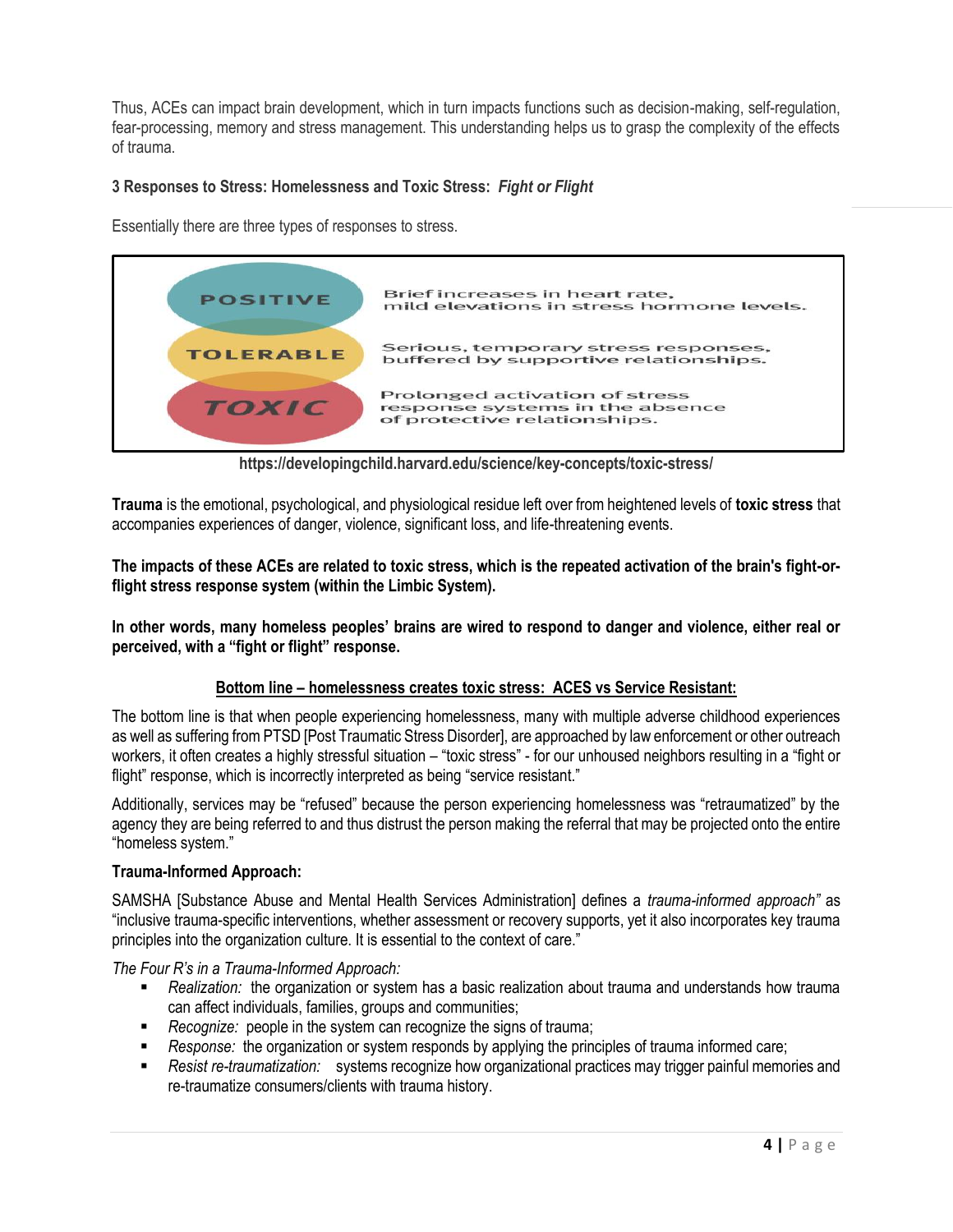Thus, ACEs can impact brain development, which in turn impacts functions such as decision-making, self-regulation, fear-processing, memory and stress management. This understanding helps us to grasp the complexity of the effects of trauma.

# **3 Responses to Stress: Homelessness and Toxic Stress:** *Fight or Flight*

Essentially there are three types of responses to stress.

| <b>POSITIVE</b>  | Brief increases in heart rate,<br>mild elevations in stress hormone levels.                       |
|------------------|---------------------------------------------------------------------------------------------------|
| <b>TOLERABLE</b> | Serious, temporary stress responses,<br>buffered by supportive relationships.                     |
| TOXIC            | Prolonged activation of stress<br>response systems in the absence<br>of protective relationships. |

**https://developingchild.harvard.edu/science/key-concepts/toxic-stress/**

**Trauma** is the emotional, psychological, and physiological residue left over from heightened levels of **toxic stress** that accompanies experiences of danger, violence, significant loss, and life-threatening events.

**The impacts of these ACEs are related to toxic stress, which is the repeated activation of the brain's fight-orflight stress response system (within the Limbic System).**

**In other words, many homeless peoples' brains are wired to respond to danger and violence, either real or perceived, with a "fight or flight" response.**

## **Bottom line – homelessness creates toxic stress: ACES vs Service Resistant:**

The bottom line is that when people experiencing homelessness, many with multiple adverse childhood experiences as well as suffering from PTSD [Post Traumatic Stress Disorder], are approached by law enforcement or other outreach workers, it often creates a highly stressful situation – "toxic stress" - for our unhoused neighbors resulting in a "fight or flight" response, which is incorrectly interpreted as being "service resistant."

Additionally, services may be "refused" because the person experiencing homelessness was "retraumatized" by the agency they are being referred to and thus distrust the person making the referral that may be projected onto the entire "homeless system."

#### **Trauma-Informed Approach:**

SAMSHA [Substance Abuse and Mental Health Services Administration] defines a *trauma-informed approach"* as "inclusive trauma-specific interventions, whether assessment or recovery supports, yet it also incorporates key trauma principles into the organization culture. It is essential to the context of care."

*The Four R's in a Trauma-Informed Approach:*

- *Realization:* the organization or system has a basic realization about trauma and understands how trauma can affect individuals, families, groups and communities;
- *Recognize:* people in the system can recognize the signs of trauma;
- *Response:* the organization or system responds by applying the principles of trauma informed care;
- *Resist re-traumatization:* systems recognize how organizational practices may trigger painful memories and re-traumatize consumers/clients with trauma history.